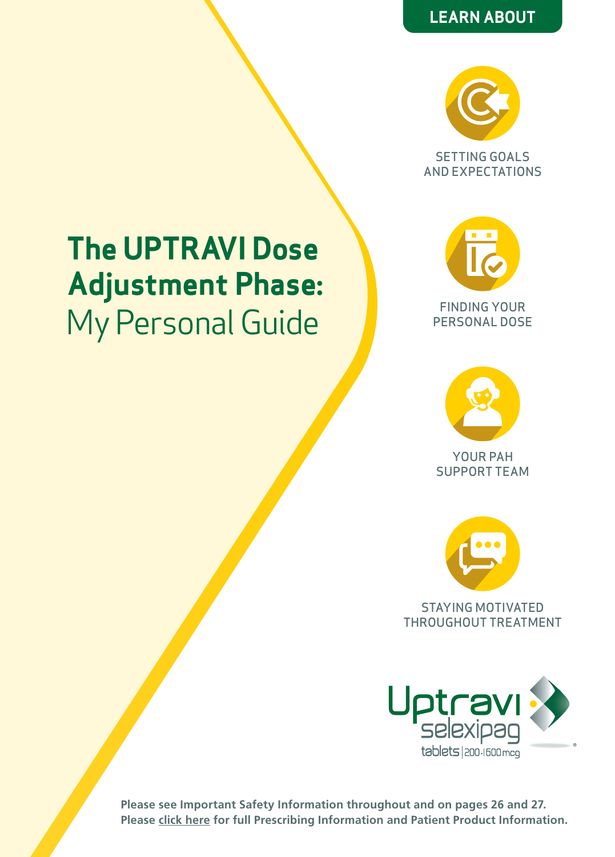# **LEARN ABOUT**



SETTING GOALS AND EXPECTATIONS

# **The UPTRAVI Dose Adjustment Phase:**  My Personal Guide





YOUR PAH SUPPORT TEAM



THROUGHOUT TREATMENT

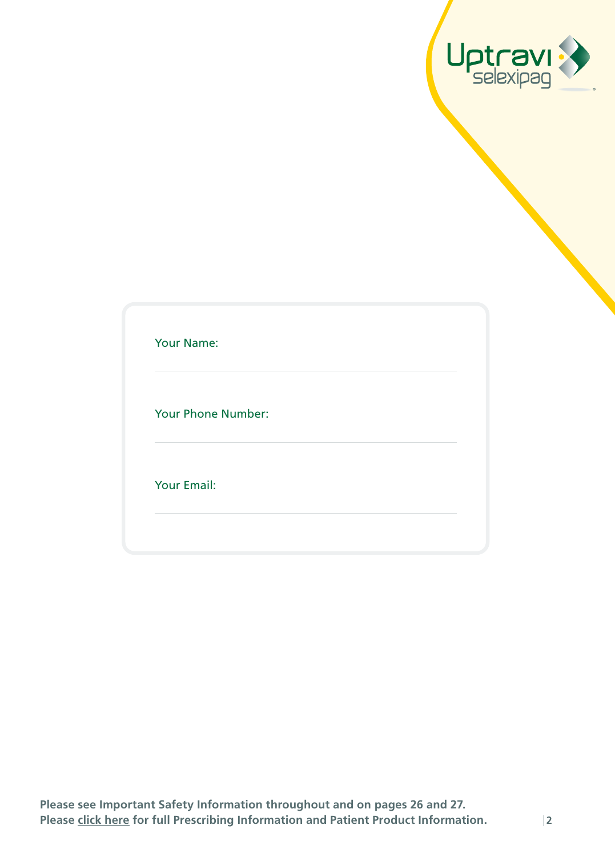

| Your Name: |  |
|------------|--|
|            |  |

Your Phone Number:

Your Email: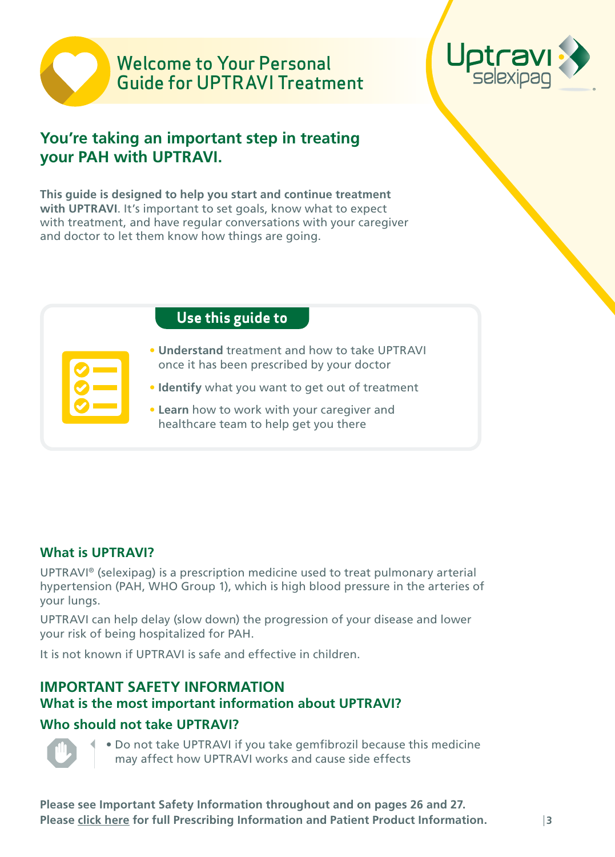# Welcome to Your Personal Guide for UPTRAVI Treatment



# **You're taking an important step in treating your PAH with UPTRAVI.**

**This guide is designed to help you start and continue treatment with UPTRAVI**. It's important to set goals, know what to expect with treatment, and have regular conversations with your caregiver and doctor to let them know how things are going.

| Use this guide to                                                                            |
|----------------------------------------------------------------------------------------------|
| • Understand treatment and how to take UPTRAVI<br>once it has been prescribed by your doctor |
| • Identify what you want to get out of treatment                                             |
| • Learn how to work with your caregiver and<br>healthcare team to help get you there         |

### **What is UPTRAVI?**

UPTRAVI® (selexipag) is a prescription medicine used to treat pulmonary arterial hypertension (PAH, WHO Group 1), which is high blood pressure in the arteries of your lungs.

UPTRAVI can help delay (slow down) the progression of your disease and lower your risk of being hospitalized for PAH.

It is not known if UPTRAVI is safe and effective in children.

# **IMPORTANT SAFETY INFORMATION**

# **What is the most important information about UPTRAVI?**

# **Who should not take UPTRAVI?**



• Do not take UPTRAVI if you take gemfibrozil because this medicine may affect how UPTRAVI works and cause side effects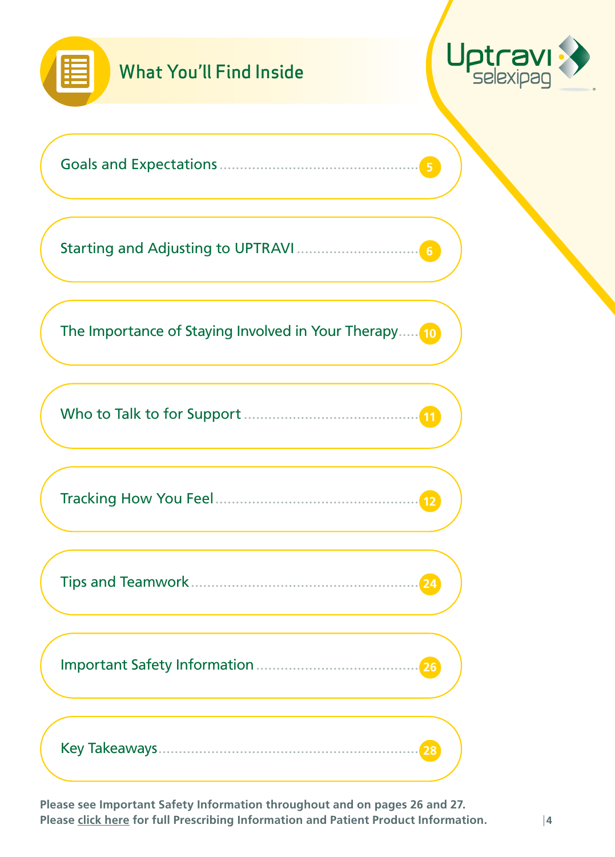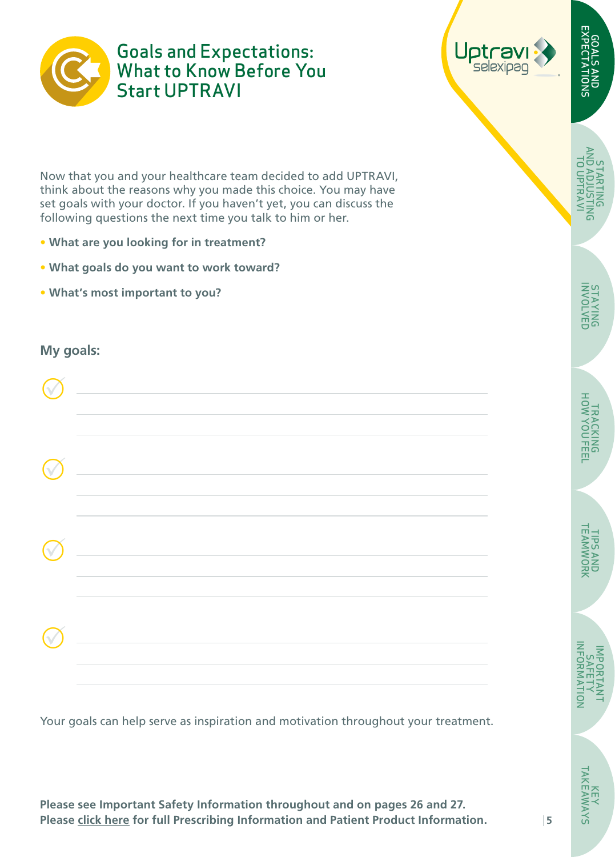<span id="page-4-0"></span>

Goals and Expectations: What to Know Before You Start UPTRAVI



Now that you and your healthcare team decided to add UPTRAVI, think about the reasons why you made this choice. You may have set goals with your doctor. If you haven't yet, you can discuss the following questions the next time you talk to him or her.

- **What are you looking for in treatment?**
- **• What goals do you want to work toward?**
- **• What's most important to you?**

#### **My goals:**

| $\widehat{\mathbb{V}}$ | <u> 1989 - Johann Barbara, martxa eta politikar</u> |  |
|------------------------|-----------------------------------------------------|--|
| $\widehat{\mathbb{V}}$ |                                                     |  |
| $\sqrt{ }$             |                                                     |  |

Your goals can help serve as inspiration and motivation throughout your treatment.

**Please see Important Safety Information throughout and on pages 26 and 27. Please [click here](https://www.janssenlabels.com/package-insert/product-monograph/prescribing-information/UPTRAVI-pi.pdf) for full Prescribing Information and Patient Product Information.** 

GOALS AND EXPECTATIONS

GOALS AND<br>EXPECTATIONS

STARTING [AND ADJUSTING](#page-5-0)  TO UPTRAVI

**STARTING**<br>PMTAADIUSTI **TO UPTRAV** 

**5**

KEY<br>TAKEAWAYS [TAKEAWAYS](#page-27-0)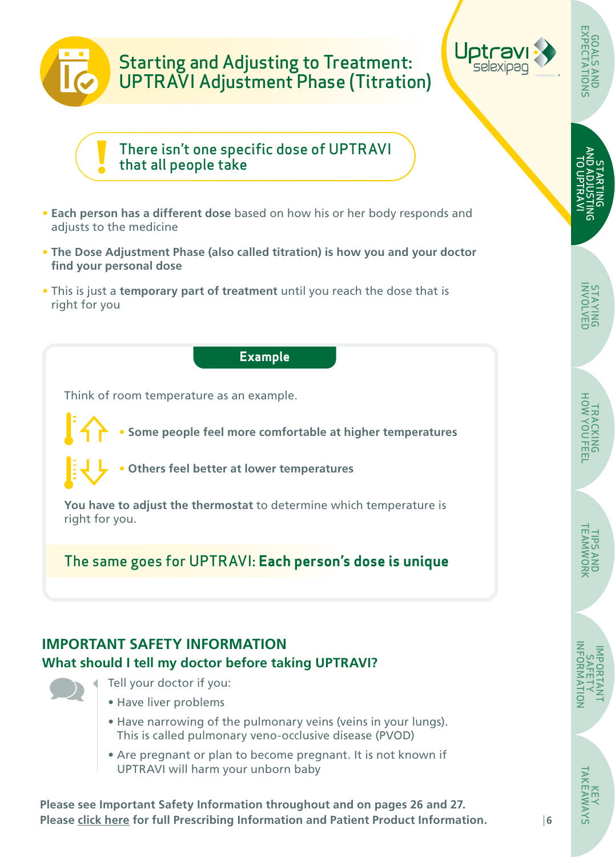# <span id="page-5-0"></span>Starting and Adjusting to Treatment: UPTRAVI Adjustment Phase (Titration)



STARTING AND ADJUSTING TO UPTRAVI GOALS AND [EXPECTATIONS](#page-4-0)

しせん

There isn't one specific dose of UPTRAVI that all people take

- **Each person has a different dose** based on how his or her body responds and adjusts to the medicine
- **The Dose Adjustment Phase (also called titration) is how you and your doctor find your personal dose**
- This is just a **temporary part of treatment** until you reach the dose that is right for you

#### **Example**

Think of room temperature as an example.

• **Some people feel more comfortable at higher temperatures**



• **Others feel better at lower temperatures**

**You have to adjust the thermostat** to determine which temperature is right for you.

The same goes for UPTRAVI: **Each person's dose is unique**

# **IMPORTANT SAFETY INFORMATION What should I tell my doctor before taking UPTRAVI?**



- Tell your doctor if you:
- Have liver problems
- Have narrowing of the pulmonary veins (veins in your lungs). This is called pulmonary veno-occlusive disease (PVOD)
- Are pregnant or plan to become pregnant. It is not known if UPTRAVI will harm your unborn baby

**Please see Important Safety Information throughout and on pages 26 and 27. Please [click here](https://www.janssenlabels.com/package-insert/product-monograph/prescribing-information/UPTRAVI-pi.pdf) for full Prescribing Information and Patient Product Information.** 

TIPS AND [TEAMWORK](#page-23-0)

IMPORTANT SAFETY  [INFORMATION](#page-25-0)

KEY<br>TAKEAWAYS [TAKEAWAYS](#page-27-0)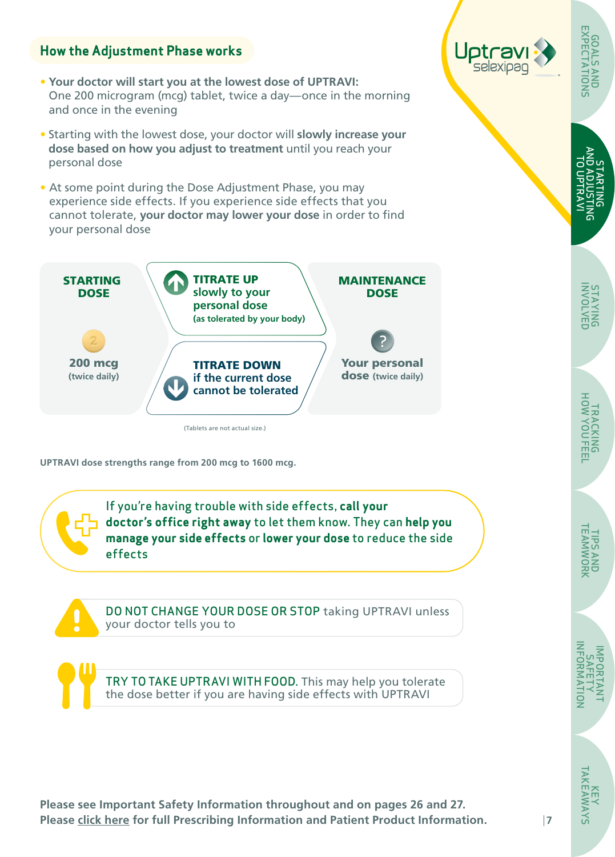### **How the Adjustment Phase works**

- **Your doctor will start you at the lowest dose of UPTRAVI:** One 200 microgram (mcg) tablet, twice a day—once in the morning and once in the evening
- Starting with the lowest dose, your doctor will **slowly increase your dose based on how you adjust to treatment** until you reach your personal dose
- At some point during the Dose Adjustment Phase, you may experience side effects. If you experience side effects that you cannot tolerate, **your doctor may lower your dose** in order to find your personal dose



**UPTRAVI dose strengths range from 200 mcg to 1600 mcg.**

If you're having trouble with side effects, **call your doctor's office right away** to let them know. They can **help you manage your side effects** or **lower your dose** to reduce the side effects

DO NOT CHANGE YOUR DOSE OR STOP taking UPTRAVI unless your doctor tells you to

TRY TO TAKE UPTRAVI WITH FOOD. This may help you tolerate the dose better if you are having side effects with UPTRAVI

**Please see Important Safety Information throughout and on pages 26 and 27. Please [click here](https://www.janssenlabels.com/package-insert/product-monograph/prescribing-information/UPTRAVI-pi.pdf) for full Prescribing Information and Patient Product Information.** 



[AND ADJUSTING](#page-5-0)  종 TO UPTRAVI UPTRAV STARTING š TARTING

GOALS AND [EXPECTATIONS](#page-4-0)

**GUALSAND**<br>EXPECTATIONS GOALS

IMPORTANT SAFETY  [INFORMATION](#page-25-0)

NFORMA

NOIL

KEY<br>TAKEAWAYS [TAKEAWAYS](#page-27-0)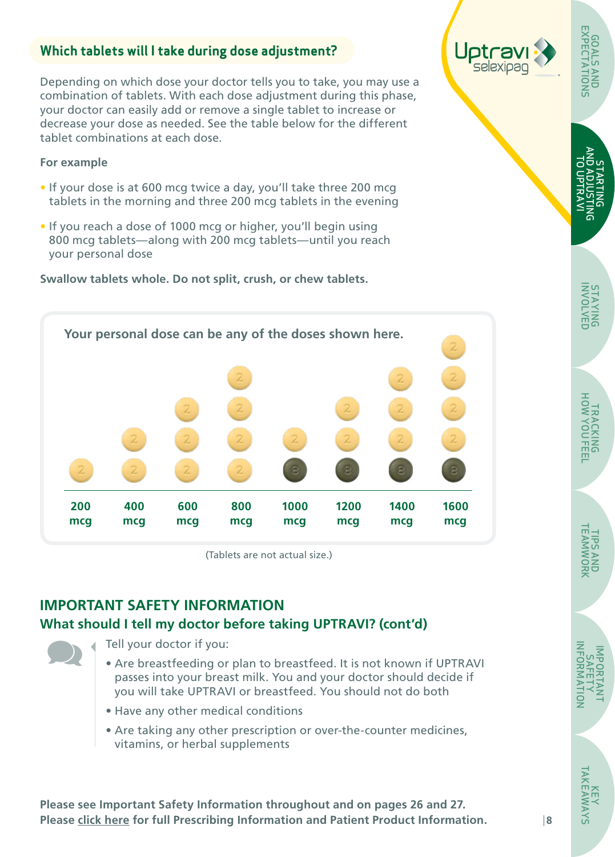## **Which tablets will I take during dose adjustment?**

Depending on which dose your doctor tells you to take, you may use a combination of tablets. With each dose adjustment during this phase, your doctor can easily add or remove a single tablet to increase or decrease your dose as needed. See the table below for the different tablet combinations at each dose.

#### **For example**

- If your dose is at 600 mcg twice a day, you'll take three 200 mcg tablets in the morning and three 200 mcg tablets in the evening
- If you reach a dose of 1000 mcg or higher, you'll begin using 800 mcg tablets—along with 200 mcg tablets—until you reach your personal dose

**Swallow tablets whole. Do not split, crush, or chew tablets.** 



(Tablets are not actual size.)

# **IMPORTANT SAFETY INFORMATION What should I tell my doctor before taking UPTRAVI? (cont'd)**

Tell your doctor if you:

- Are breastfeeding or plan to breastfeed. It is not known if UPTRAVI passes into your breast milk. You and your doctor should decide if you will take UPTRAVI or breastfeed. You should not do both
- Have any other medical conditions
- Are taking any other prescription or over-the-counter medicines, vitamins, or herbal supplements

**Please see Important Safety Information throughout and on pages 26 and 27. Please [click here](https://www.janssenlabels.com/package-insert/product-monograph/prescribing-information/UPTRAVI-pi.pdf) for full Prescribing Information and Patient Product Information.** 



[AND ADJUSTING](#page-5-0)  종 TO UPTRAVI **TO UPTRAVI** STARTING ð **TARTING** <u>នី</u>

GOALS AND [EXPECTATIONS](#page-4-0)

EXPECTA<sup>-</sup>



TIPS AND [TEAMWORK](#page-23-0)

**TIPS AND<br>TEAMWORK** 

 [INFORMATION](#page-25-0) **NFORMATION** IMPORTANT SAFETY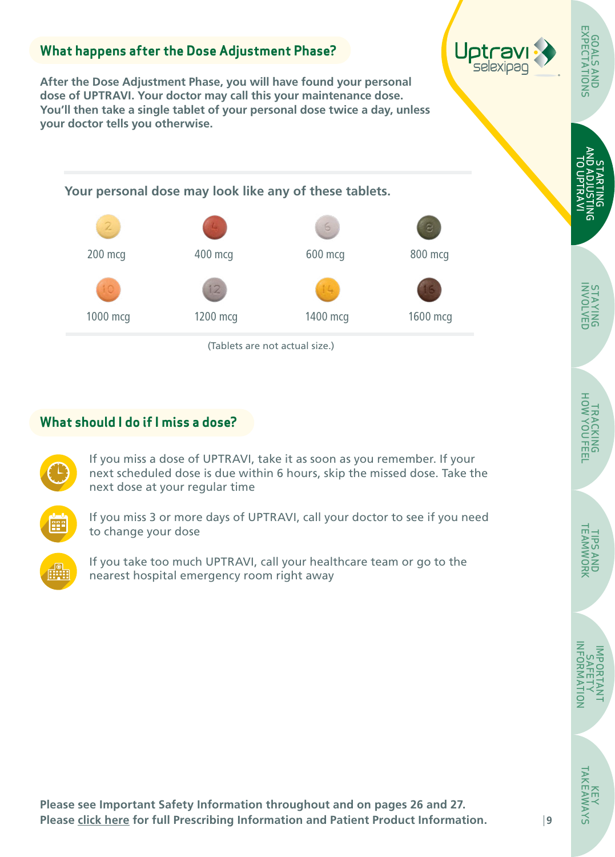# **What happens after the Dose Adjustment Phase? After the Dose Adjustment Phase, you will have found your personal dose of UPTRAVI. Your doctor may call this your maintenance dose. You'll then take a single tablet of your personal dose twice a day, unless your doctor tells you otherwise.**  (Tablets are not actual size.) **Your personal dose may look like any of these tablets.**  200 mcg 1000 mcg 400 mcg 600 mcg 1200 mcg 800 mcg 1400 mcg 1600 mcg

# **What should I do if I miss a dose?**



If you miss a dose of UPTRAVI, take it as soon as you remember. If your next scheduled dose is due within 6 hours, skip the missed dose. Take the next dose at your regular time



If you miss 3 or more days of UPTRAVI, call your doctor to see if you need to change your dose



If you take too much UPTRAVI, call your healthcare team or go to the nearest hospital emergency room right away

STAYING [INVOLVED](#page-9-0)

**STAYING**<br>BMYOLVED

STARTING [AND ADJUSTING](#page-5-0)  TO UPTRAVI

UPTRAV **ARTING** 

GOALS AND [EXPECTATIONS](#page-4-0)

EXPEC

TRACKING [HOW YOU FEEL](#page-11-0)

**TRACKING**<br>HOW YOUFEEL

TIPS AND [TEAMWORK](#page-23-0)

**TIPS AND<br>TEAMWORK** 

IMPORTANT SAFETY  [INFORMATION](#page-25-0)

ş

KEY<br>TAKEAWAYS [TAKEAWAYS](#page-27-0)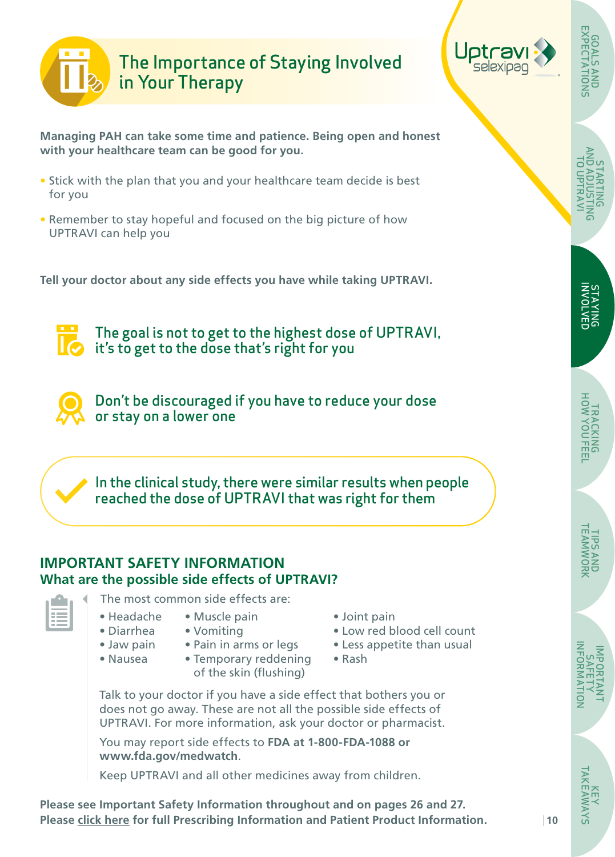<span id="page-9-0"></span>



[AND ADJUSTING](#page-5-0)  TO UPTRAVI 이 이<br>나서 STARTING

GOALS AND [EXPECTATIONS](#page-4-0)

**STAYING**<br>INVOLVED INVOLVED STAYING

**Managing PAH can take some time and patience. Being open and honest with your healthcare team can be good for you.**

- Stick with the plan that you and your healthcare team decide is best for you
- Remember to stay hopeful and focused on the big picture of how UPTRAVI can help you

**Tell your doctor about any side effects you have while taking UPTRAVI.** 

The goal is not to get to the highest dose of UPTRAVI,  $\bullet$  it's to get to the dose that's right for you

Don't be discouraged if you have to reduce your dose or stay on a lower one

In the clinical study, there were similar results when people reached the dose of UPTRAVI that was right for them

#### **IMPORTANT SAFETY INFORMATION What are the possible side effects of UPTRAVI?**

- The most common side effects are:
- Muscle pain • Headache
- Vomiting • Diarrhea
- Jaw pain

• Nausea

• Pain in arms or legs • Temporary reddening

of the skin (flushing)

- Joint pain • Low red blood cell count
- Less appetite than usual
- Rash

Talk to your doctor if you have a side effect that bothers you or does not go away. These are not all the possible side effects of UPTRAVI. For more information, ask your doctor or pharmacist.

You may report side effects to **FDA at 1-800-FDA-1088 or www.fda.gov/medwatch**.

Keep UPTRAVI and all other medicines away from children.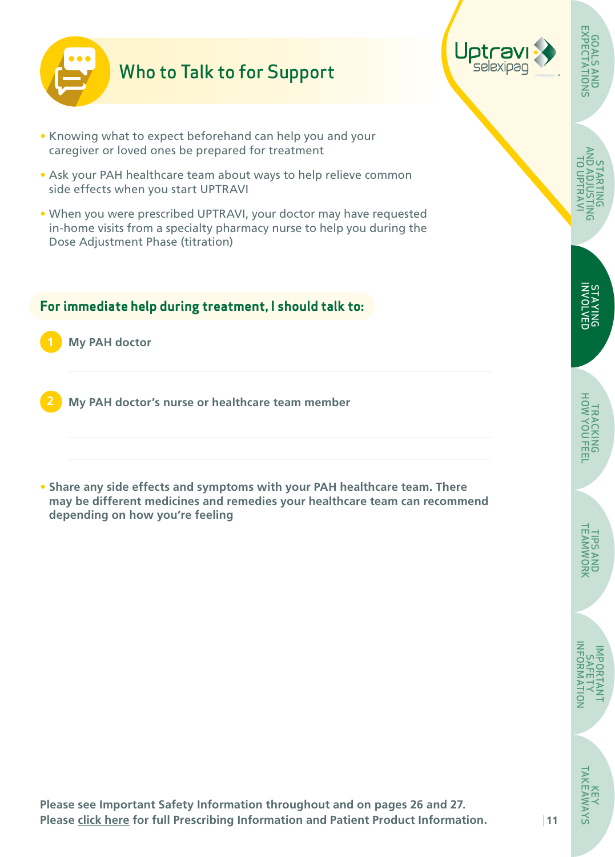<span id="page-10-0"></span>

# Who to Talk to for Support

- Knowing what to expect beforehand can help you and your caregiver or loved ones be prepared for treatment
- Ask your PAH healthcare team about ways to help relieve common side effects when you start UPTRAVI
- When you were prescribed UPTRAVI, your doctor may have requested in-home visits from a specialty pharmacy nurse to help you during the Dose Adjustment Phase (titration)

#### **For immediate help during treatment, I should talk to:**

**1 My PAH doctor**

**2 My PAH doctor's nurse or healthcare team member**

**• Share any side effects and symptoms with your PAH healthcare team. There may be different medicines and remedies your healthcare team can recommend depending on how you're feeling**

GOALS AND [EXPECTATIONS](#page-4-0)

**GOALS AND<br>EXPECTATIONS** 

IMPORTANT SAFETY

NHORKA

 $\overline{a}$ 

KEY<br>TAKEAWAYS [TAKEAWAYS](#page-27-0)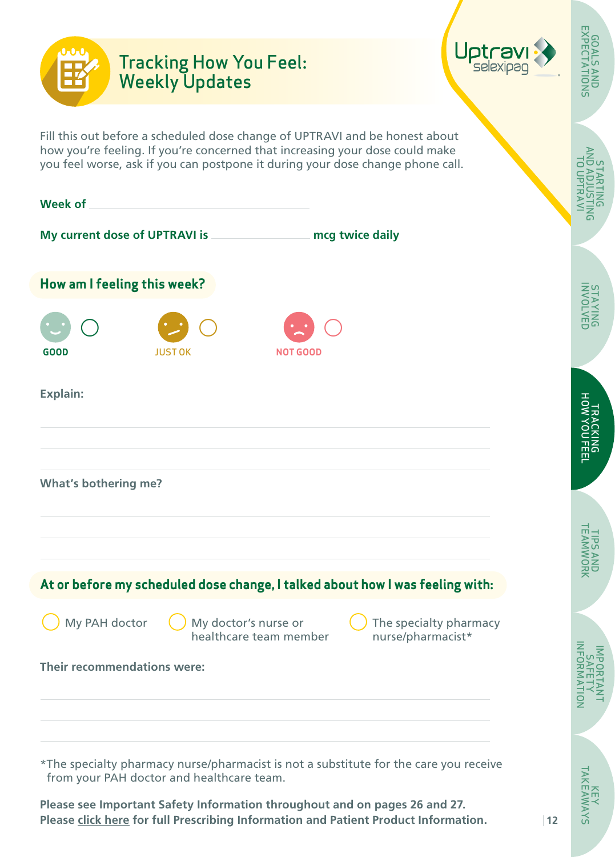<span id="page-11-0"></span>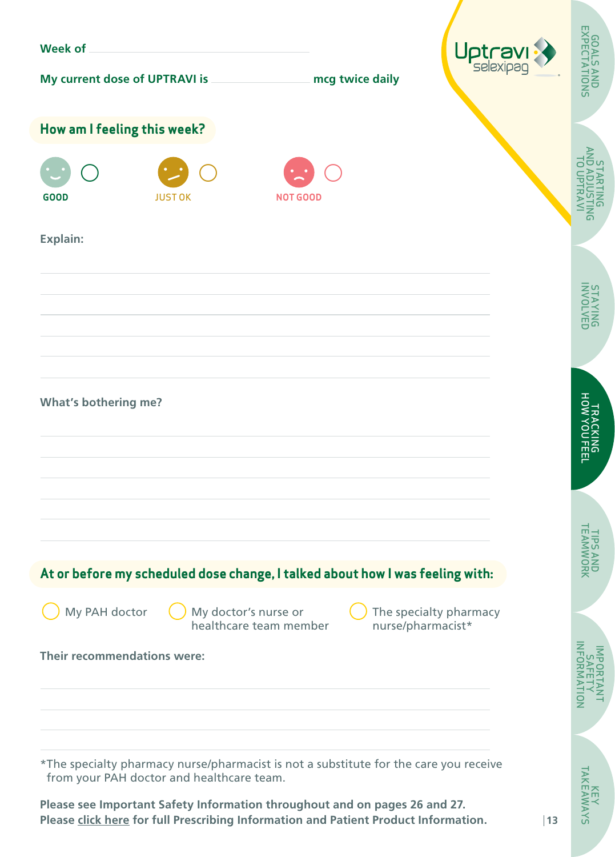| <b>Week of</b>                                                                                                                                                    |                |                                                |                 | Uptravi                                     |                                     |
|-------------------------------------------------------------------------------------------------------------------------------------------------------------------|----------------|------------------------------------------------|-----------------|---------------------------------------------|-------------------------------------|
| My current dose of UPTRAVI is                                                                                                                                     |                |                                                | mcg twice daily |                                             | <b>GOALS AND<br/>EXPECTATIONS</b>   |
| How am I feeling this week?                                                                                                                                       |                |                                                |                 |                                             |                                     |
| <b>GOOD</b>                                                                                                                                                       | <b>JUST OK</b> | <b>NOT GOOD</b>                                |                 |                                             | AND<br>C<br>בַּנּ<br>$\overline{5}$ |
| Explain:                                                                                                                                                          |                |                                                |                 |                                             |                                     |
|                                                                                                                                                                   |                |                                                |                 |                                             | STAYNG<br>BUYAL                     |
|                                                                                                                                                                   |                |                                                |                 |                                             |                                     |
| <b>What's bothering me?</b>                                                                                                                                       |                |                                                |                 |                                             | TRACKING<br>HOW YOU FEEL            |
|                                                                                                                                                                   |                |                                                |                 |                                             |                                     |
| At or before my scheduled dose change, I talked about how I was feeling with:                                                                                     |                |                                                |                 |                                             | <b>TPS ANI</b><br>FAMWOI<br>공무      |
| My PAH doctor                                                                                                                                                     |                | My doctor's nurse or<br>healthcare team member |                 | The specialty pharmacy<br>nurse/pharmacist* |                                     |
| Their recommendations were:                                                                                                                                       |                |                                                |                 |                                             | NHORM                               |
|                                                                                                                                                                   |                |                                                |                 |                                             | ş                                   |
| *The specialty pharmacy nurse/pharmacist is not a substitute for the care you receive<br>from your PAH doctor and healthcare team.                                |                |                                                |                 |                                             |                                     |
| Please see Important Safety Information throughout and on pages 26 and 27.<br>Please click here for full Prescribing Information and Patient Product Information. |                |                                                |                 |                                             | <b>KEY<br/>TAKEAWAYS</b><br> 13     |

**SAVMN**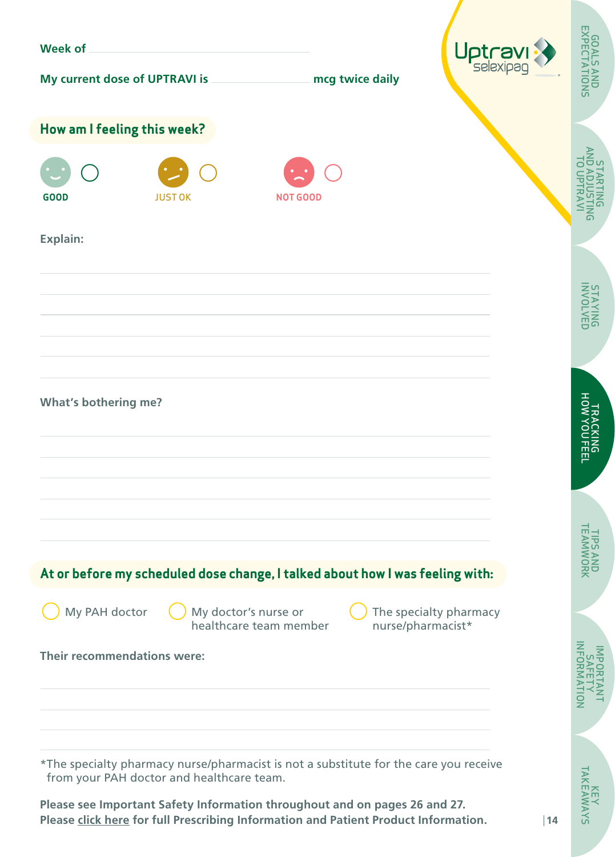| <b>Week of</b>                                                                                                                                                    |                |                                                |                   | Uptravi                |                                     |
|-------------------------------------------------------------------------------------------------------------------------------------------------------------------|----------------|------------------------------------------------|-------------------|------------------------|-------------------------------------|
| My current dose of UPTRAVI is                                                                                                                                     |                |                                                | mcg twice daily   |                        | <b>GOALS AND<br/>EXPECTATIONS</b>   |
| How am I feeling this week?                                                                                                                                       |                |                                                |                   |                        |                                     |
| <b>GOOD</b>                                                                                                                                                       | <b>JUST OK</b> | <b>NOT GOOD</b>                                |                   |                        | AND<br>C<br>בַּנּ<br>$\overline{5}$ |
| Explain:                                                                                                                                                          |                |                                                |                   |                        |                                     |
|                                                                                                                                                                   |                |                                                |                   |                        | STAYNG<br>BUYAL                     |
|                                                                                                                                                                   |                |                                                |                   |                        |                                     |
| <b>What's bothering me?</b>                                                                                                                                       |                |                                                |                   |                        | TRACKING<br>HOW YOU FEEL            |
|                                                                                                                                                                   |                |                                                |                   |                        |                                     |
| At or before my scheduled dose change, I talked about how I was feeling with:                                                                                     |                |                                                |                   |                        | <b>TPS ANI</b><br>FAMWOI<br>공무      |
| My PAH doctor                                                                                                                                                     |                | My doctor's nurse or<br>healthcare team member | nurse/pharmacist* | The specialty pharmacy |                                     |
| Their recommendations were:                                                                                                                                       |                |                                                |                   |                        | NHORM<br>ş                          |
| *The specialty pharmacy nurse/pharmacist is not a substitute for the care you receive<br>from your PAH doctor and healthcare team.                                |                |                                                |                   |                        |                                     |
| Please see Important Safety Information throughout and on pages 26 and 27.<br>Please click here for full Prescribing Information and Patient Product Information. |                |                                                |                   |                        | <b>KEY<br/>TAKEAWAYS</b><br> 14     |

SAV<sub>IV</sub>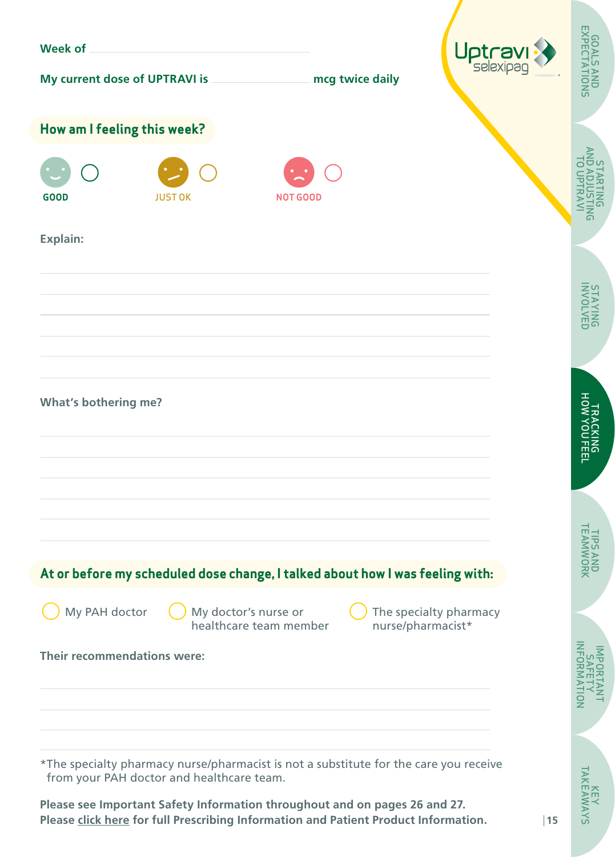| <b>Week of</b>                                                                                                                                                    |                |                                                |                   | Uptravi                |                                     |
|-------------------------------------------------------------------------------------------------------------------------------------------------------------------|----------------|------------------------------------------------|-------------------|------------------------|-------------------------------------|
| My current dose of UPTRAVI is                                                                                                                                     |                |                                                | mcg twice daily   |                        | <b>GOALS AND<br/>EXPECTATIONS</b>   |
| How am I feeling this week?                                                                                                                                       |                |                                                |                   |                        |                                     |
| <b>GOOD</b>                                                                                                                                                       | <b>JUST OK</b> | <b>NOT GOOD</b>                                |                   |                        | AND<br>C<br>בַּנּ<br>$\overline{5}$ |
| Explain:                                                                                                                                                          |                |                                                |                   |                        |                                     |
|                                                                                                                                                                   |                |                                                |                   |                        | STAYNG<br>BUYAL                     |
|                                                                                                                                                                   |                |                                                |                   |                        |                                     |
| <b>What's bothering me?</b>                                                                                                                                       |                |                                                |                   |                        | TRACKING<br>HOW YOU FEEL            |
|                                                                                                                                                                   |                |                                                |                   |                        |                                     |
| At or before my scheduled dose change, I talked about how I was feeling with:                                                                                     |                |                                                |                   |                        | <b>TPS ANI</b><br>FAMWOI<br>공무      |
| My PAH doctor                                                                                                                                                     |                | My doctor's nurse or<br>healthcare team member | nurse/pharmacist* | The specialty pharmacy |                                     |
| Their recommendations were:                                                                                                                                       |                |                                                |                   |                        | NHORM<br>ş                          |
| *The specialty pharmacy nurse/pharmacist is not a substitute for the care you receive<br>from your PAH doctor and healthcare team.                                |                |                                                |                   |                        |                                     |
| Please see Important Safety Information throughout and on pages 26 and 27.<br>Please click here for full Prescribing Information and Patient Product Information. |                |                                                |                   |                        | <b>KEY<br/>TAKEAWAYS</b><br>15      |

**SAVMN**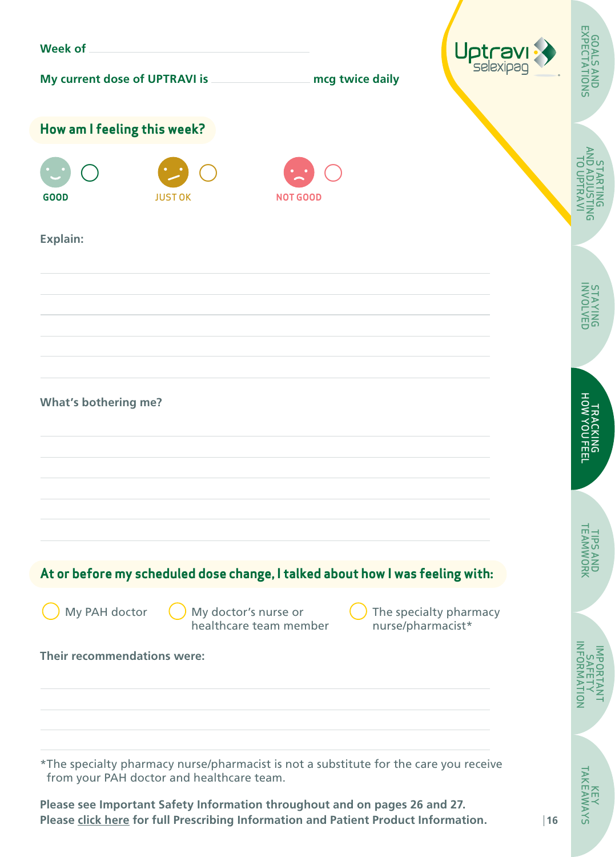| <b>Week of</b>                                                                                                                                                                                                 |                |                                                |                   | Uptravi                |                                     |
|----------------------------------------------------------------------------------------------------------------------------------------------------------------------------------------------------------------|----------------|------------------------------------------------|-------------------|------------------------|-------------------------------------|
| My current dose of UPTRAVI is                                                                                                                                                                                  |                |                                                | mcg twice daily   |                        | <b>GOALS AND<br/>EXPECTATIONS</b>   |
| How am I feeling this week?                                                                                                                                                                                    |                |                                                |                   |                        |                                     |
| <b>GOOD</b>                                                                                                                                                                                                    | <b>JUST OK</b> | <b>NOT GOOD</b>                                |                   |                        | AND<br>C<br>בַּנּ<br>$\overline{5}$ |
| Explain:                                                                                                                                                                                                       |                |                                                |                   |                        |                                     |
|                                                                                                                                                                                                                |                |                                                |                   |                        | STAYNG<br>BUYAL                     |
|                                                                                                                                                                                                                |                |                                                |                   |                        |                                     |
| <b>What's bothering me?</b>                                                                                                                                                                                    |                |                                                |                   |                        | TRACKING<br>HOW YOU FEEL            |
|                                                                                                                                                                                                                |                |                                                |                   |                        |                                     |
| At or before my scheduled dose change, I talked about how I was feeling with:                                                                                                                                  |                |                                                |                   |                        | <b>TPS ANI</b><br>FAMWOI<br>공무      |
| My PAH doctor                                                                                                                                                                                                  |                | My doctor's nurse or<br>healthcare team member | nurse/pharmacist* | The specialty pharmacy |                                     |
| Their recommendations were:                                                                                                                                                                                    |                |                                                |                   |                        | NHORM                               |
|                                                                                                                                                                                                                |                |                                                |                   |                        | ş                                   |
| *The specialty pharmacy nurse/pharmacist is not a substitute for the care you receive                                                                                                                          |                |                                                |                   |                        |                                     |
| from your PAH doctor and healthcare team.<br>Please see Important Safety Information throughout and on pages 26 and 27.<br>Please click here for full Prescribing Information and Patient Product Information. |                |                                                |                   |                        | <b>KEY<br/>TAKEAWAYS</b><br>16      |

SAV<sub>IV</sub>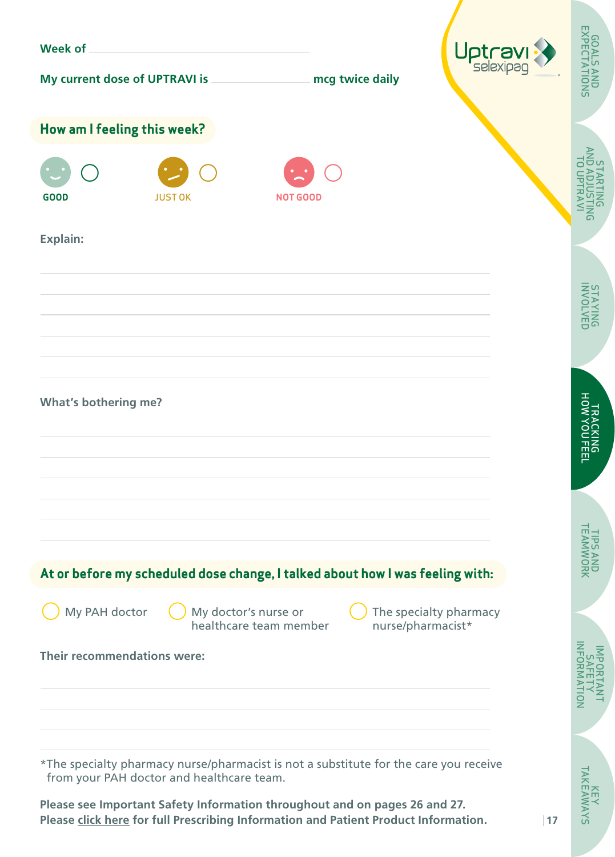| <b>Week of</b>                                                                                                                                                                                                 |                                                |                   |                        |                                     |
|----------------------------------------------------------------------------------------------------------------------------------------------------------------------------------------------------------------|------------------------------------------------|-------------------|------------------------|-------------------------------------|
| My current dose of UPTRAVI is                                                                                                                                                                                  |                                                | mcg twice daily   | Uptravi                | <b>GOALS AND<br/>EXPECTATIONS</b>   |
| How am I feeling this week?                                                                                                                                                                                    |                                                |                   |                        |                                     |
| <b>GOOD</b><br><b>JUST OK</b>                                                                                                                                                                                  | <b>NOT GOOD</b>                                |                   |                        | AND<br>C<br>בַּנּ<br>$\overline{5}$ |
| Explain:                                                                                                                                                                                                       |                                                |                   |                        |                                     |
|                                                                                                                                                                                                                |                                                |                   |                        | STAYNG<br>BUYAL                     |
|                                                                                                                                                                                                                |                                                |                   |                        |                                     |
| <b>What's bothering me?</b>                                                                                                                                                                                    |                                                |                   |                        | TRACKING<br>HOW YOU FEEL            |
|                                                                                                                                                                                                                |                                                |                   |                        |                                     |
| At or before my scheduled dose change, I talked about how I was feeling with:                                                                                                                                  |                                                |                   |                        | <b>TPS ANI</b><br>FAMWOI<br>공무      |
| My PAH doctor                                                                                                                                                                                                  | My doctor's nurse or<br>healthcare team member | nurse/pharmacist* | The specialty pharmacy |                                     |
| Their recommendations were:                                                                                                                                                                                    |                                                |                   |                        | NFORM<br>ΑFi<br><u>jo</u>           |
| *The specialty pharmacy nurse/pharmacist is not a substitute for the care you receive                                                                                                                          |                                                |                   |                        |                                     |
| from your PAH doctor and healthcare team.<br>Please see Important Safety Information throughout and on pages 26 and 27.<br>Please click here for full Prescribing Information and Patient Product Information. |                                                |                   | 17                     | KEY<br>TAKEAWAYS                    |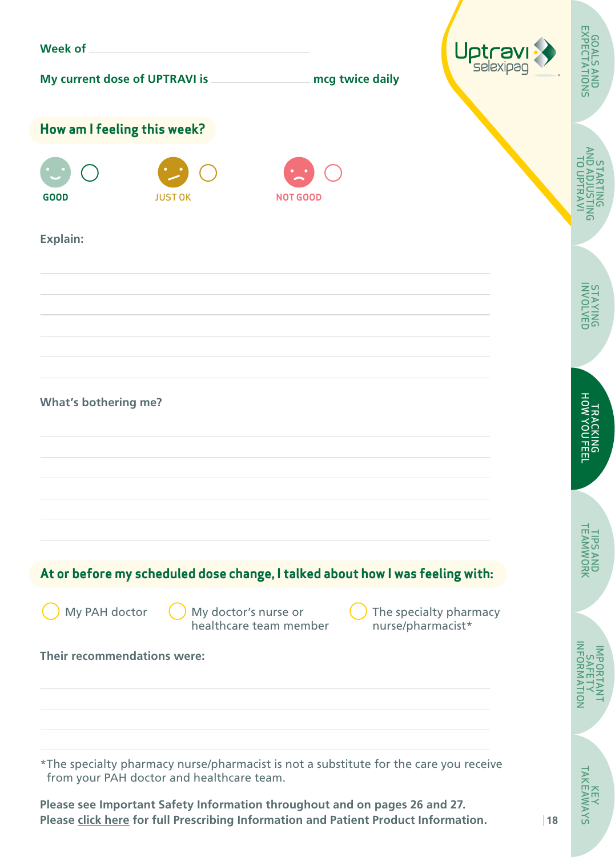| <b>Week of</b>                                                                                                                                                    |                |                                                |                 |                                             |                                                         |
|-------------------------------------------------------------------------------------------------------------------------------------------------------------------|----------------|------------------------------------------------|-----------------|---------------------------------------------|---------------------------------------------------------|
| My current dose of UPTRAVI is                                                                                                                                     |                |                                                | mcg twice daily | Uptravi                                     | <b>GOALS AND<br/>EXPECTATIONS</b>                       |
| How am I feeling this week?                                                                                                                                       |                |                                                |                 |                                             |                                                         |
| <b>GOOD</b>                                                                                                                                                       | <b>JUST OK</b> | <b>NOT GOOD</b>                                |                 |                                             | AND<br>C<br>$\overline{5}$<br>$\mathsf{S}^{\mathsf{S}}$ |
| Explain:                                                                                                                                                          |                |                                                |                 |                                             |                                                         |
|                                                                                                                                                                   |                |                                                |                 |                                             | STAYING<br>BUNDLVED                                     |
|                                                                                                                                                                   |                |                                                |                 |                                             |                                                         |
| <b>What's bothering me?</b>                                                                                                                                       |                |                                                |                 |                                             | TRACKING<br>HOW YOU FEEL                                |
|                                                                                                                                                                   |                |                                                |                 |                                             |                                                         |
| At or before my scheduled dose change, I talked about how I was feeling with:                                                                                     |                |                                                |                 |                                             | TIPS ANI<br>TEAMWOI<br>공모                               |
| My PAH doctor                                                                                                                                                     |                | My doctor's nurse or<br>healthcare team member |                 | The specialty pharmacy<br>nurse/pharmacist* |                                                         |
| Their recommendations were:                                                                                                                                       |                |                                                |                 |                                             |                                                         |
|                                                                                                                                                                   |                |                                                |                 |                                             | $\bar{Q}$                                               |
| *The specialty pharmacy nurse/pharmacist is not a substitute for the care you receive<br>from your PAH doctor and healthcare team.                                |                |                                                |                 |                                             |                                                         |
| Please see Important Safety Information throughout and on pages 26 and 27.<br>Please click here for full Prescribing Information and Patient Product Information. |                |                                                |                 |                                             | KEY<br>TAKEAWAYS<br>18                                  |

**SAVMY**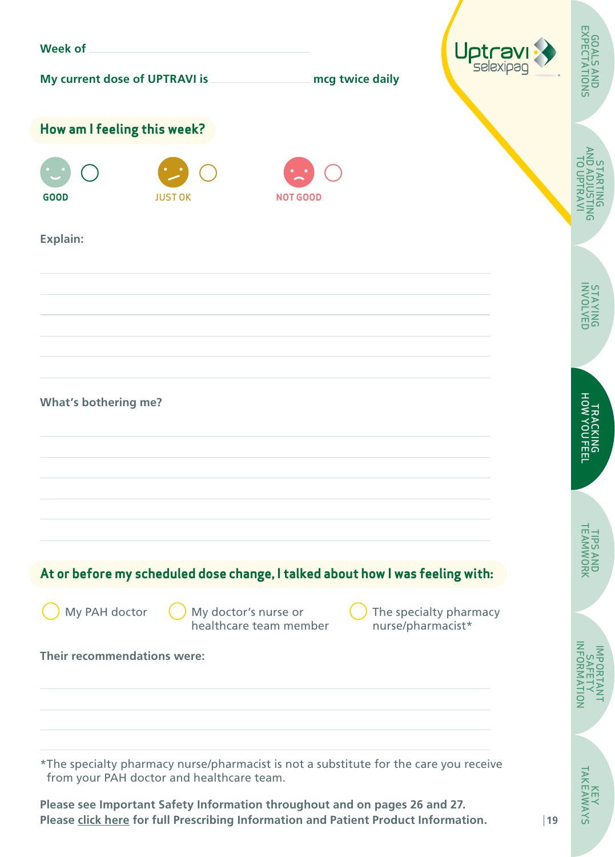| <b>Week of</b>                                                                                                                                                    |                |                                                |                   | Uptravi                |                                     |
|-------------------------------------------------------------------------------------------------------------------------------------------------------------------|----------------|------------------------------------------------|-------------------|------------------------|-------------------------------------|
| My current dose of UPTRAVI is                                                                                                                                     |                |                                                | mcg twice daily   |                        | <b>GOALS AND<br/>EXPECTATIONS</b>   |
| How am I feeling this week?                                                                                                                                       |                |                                                |                   |                        |                                     |
| <b>GOOD</b>                                                                                                                                                       | <b>JUST OK</b> | <b>NOT GOOD</b>                                |                   |                        | AND<br>C<br>בַּנּ<br>$\overline{5}$ |
| Explain:                                                                                                                                                          |                |                                                |                   |                        |                                     |
|                                                                                                                                                                   |                |                                                |                   |                        | STAYNG<br>BUYAL                     |
|                                                                                                                                                                   |                |                                                |                   |                        |                                     |
| <b>What's bothering me?</b>                                                                                                                                       |                |                                                |                   |                        | TRACKING<br>HOW YOU FEEL            |
|                                                                                                                                                                   |                |                                                |                   |                        |                                     |
| At or before my scheduled dose change, I talked about how I was feeling with:                                                                                     |                |                                                |                   |                        | <b>TPS ANI</b><br>FAMWOI<br>공무      |
| My PAH doctor                                                                                                                                                     |                | My doctor's nurse or<br>healthcare team member | nurse/pharmacist* | The specialty pharmacy |                                     |
| Their recommendations were:                                                                                                                                       |                |                                                |                   |                        | NHORM                               |
|                                                                                                                                                                   |                |                                                |                   |                        | ş                                   |
| *The specialty pharmacy nurse/pharmacist is not a substitute for the care you receive<br>from your PAH doctor and healthcare team.                                |                |                                                |                   |                        |                                     |
| Please see Important Safety Information throughout and on pages 26 and 27.<br>Please click here for full Prescribing Information and Patient Product Information. |                |                                                |                   |                        | <b>KEY<br/>TAKEAWAYS</b><br> 19     |

**SAVMY**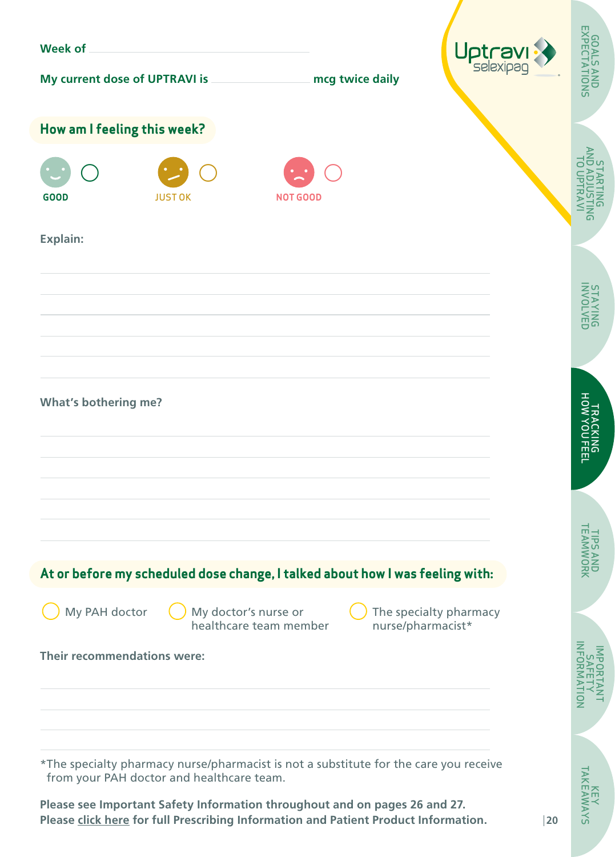| <b>Week of</b>                                                                                                                                                    |                |                                                |                   | Uptravi                |                                     |
|-------------------------------------------------------------------------------------------------------------------------------------------------------------------|----------------|------------------------------------------------|-------------------|------------------------|-------------------------------------|
| My current dose of UPTRAVI is                                                                                                                                     |                |                                                | mcg twice daily   |                        | <b>GOALS AND<br/>EXPECTATIONS</b>   |
| How am I feeling this week?                                                                                                                                       |                |                                                |                   |                        |                                     |
| <b>GOOD</b>                                                                                                                                                       | <b>JUST OK</b> | <b>NOT GOOD</b>                                |                   |                        | AND<br>C<br>בַּנּ<br>$\overline{5}$ |
| Explain:                                                                                                                                                          |                |                                                |                   |                        |                                     |
|                                                                                                                                                                   |                |                                                |                   |                        | STAYNG<br>BUYAL                     |
|                                                                                                                                                                   |                |                                                |                   |                        |                                     |
| <b>What's bothering me?</b>                                                                                                                                       |                |                                                |                   |                        | TRACKING<br>HOW YOU FEEL            |
|                                                                                                                                                                   |                |                                                |                   |                        |                                     |
| At or before my scheduled dose change, I talked about how I was feeling with:                                                                                     |                |                                                |                   |                        | <b>TPS ANI</b><br>FAMWOI<br>공무      |
| My PAH doctor                                                                                                                                                     |                | My doctor's nurse or<br>healthcare team member | nurse/pharmacist* | The specialty pharmacy |                                     |
| Their recommendations were:                                                                                                                                       |                |                                                |                   |                        | NHORM                               |
|                                                                                                                                                                   |                |                                                |                   |                        | ş                                   |
| *The specialty pharmacy nurse/pharmacist is not a substitute for the care you receive<br>from your PAH doctor and healthcare team.                                |                |                                                |                   |                        |                                     |
| Please see Important Safety Information throughout and on pages 26 and 27.<br>Please click here for full Prescribing Information and Patient Product Information. |                |                                                |                   |                        | <b>KEY<br/>TAKEAWAYS</b><br>20      |

SAV<sub>M</sub>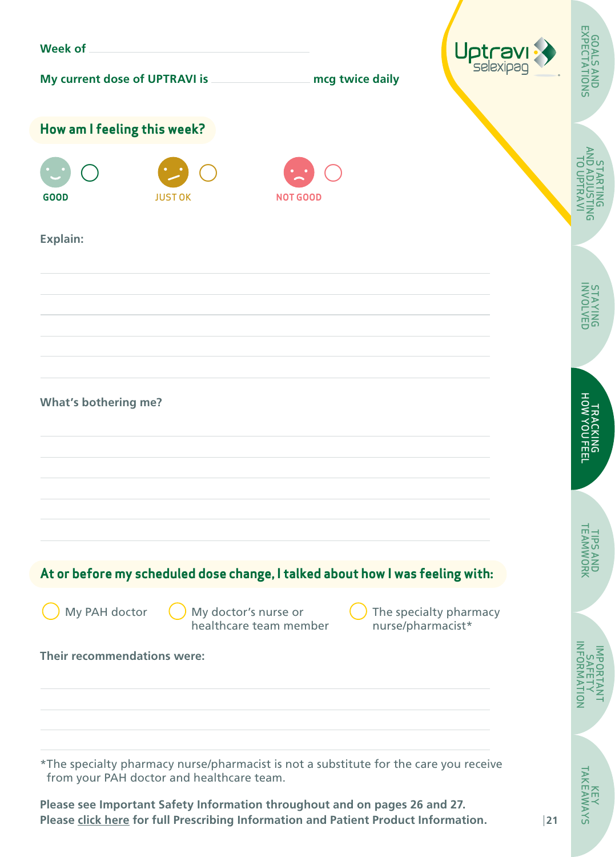| <b>Week of</b>                                                                                                                                                    |                |                                                |                   | Uptravi                |                                     |
|-------------------------------------------------------------------------------------------------------------------------------------------------------------------|----------------|------------------------------------------------|-------------------|------------------------|-------------------------------------|
| My current dose of UPTRAVI is                                                                                                                                     |                |                                                | mcg twice daily   |                        | <b>GOALS AND<br/>EXPECTATIONS</b>   |
| How am I feeling this week?                                                                                                                                       |                |                                                |                   |                        |                                     |
| <b>GOOD</b>                                                                                                                                                       | <b>JUST OK</b> | <b>NOT GOOD</b>                                |                   |                        | AND<br>C<br>בַּנּ<br>$\overline{5}$ |
| Explain:                                                                                                                                                          |                |                                                |                   |                        |                                     |
|                                                                                                                                                                   |                |                                                |                   |                        | STAYNG<br>BUYAL                     |
|                                                                                                                                                                   |                |                                                |                   |                        |                                     |
| <b>What's bothering me?</b>                                                                                                                                       |                |                                                |                   |                        | TRACKING<br>HOW YOU FEEL            |
|                                                                                                                                                                   |                |                                                |                   |                        |                                     |
| At or before my scheduled dose change, I talked about how I was feeling with:                                                                                     |                |                                                |                   |                        | <b>TPS ANI</b><br>FAMWOI<br>공무      |
| My PAH doctor                                                                                                                                                     |                | My doctor's nurse or<br>healthcare team member | nurse/pharmacist* | The specialty pharmacy |                                     |
| Their recommendations were:                                                                                                                                       |                |                                                |                   |                        | NHORM<br>ş                          |
|                                                                                                                                                                   |                |                                                |                   |                        |                                     |
| *The specialty pharmacy nurse/pharmacist is not a substitute for the care you receive<br>from your PAH doctor and healthcare team.                                |                |                                                |                   |                        | <b>KEY<br/>TAKEAWAYS</b>            |
| Please see Important Safety Information throughout and on pages 26 and 27.<br>Please click here for full Prescribing Information and Patient Product Information. |                |                                                |                   |                        | 21                                  |

SAV<sub>IV</sub>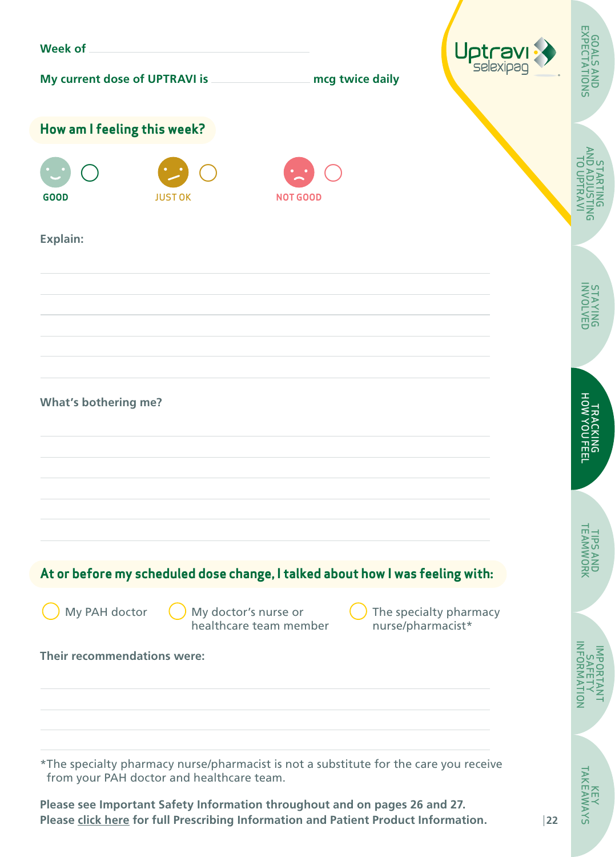| <b>Week of</b>                                                                                                                                                    |                |                                                |                   | Uptravi                |                                     |
|-------------------------------------------------------------------------------------------------------------------------------------------------------------------|----------------|------------------------------------------------|-------------------|------------------------|-------------------------------------|
| My current dose of UPTRAVI is                                                                                                                                     |                |                                                | mcg twice daily   |                        | <b>GOALS AND<br/>EXPECTATIONS</b>   |
| How am I feeling this week?                                                                                                                                       |                |                                                |                   |                        |                                     |
| <b>GOOD</b>                                                                                                                                                       | <b>JUST OK</b> | <b>NOT GOOD</b>                                |                   |                        | AND<br>C<br>בַּנּ<br>$\overline{5}$ |
| Explain:                                                                                                                                                          |                |                                                |                   |                        |                                     |
|                                                                                                                                                                   |                |                                                |                   |                        | STAYNG<br>BUYAL                     |
|                                                                                                                                                                   |                |                                                |                   |                        |                                     |
| <b>What's bothering me?</b>                                                                                                                                       |                |                                                |                   |                        | TRACKING<br>HOW YOU FEEL            |
|                                                                                                                                                                   |                |                                                |                   |                        |                                     |
| At or before my scheduled dose change, I talked about how I was feeling with:                                                                                     |                |                                                |                   |                        | <b>TPS ANI</b><br>FAMWOI<br>공무      |
| My PAH doctor                                                                                                                                                     |                | My doctor's nurse or<br>healthcare team member | nurse/pharmacist* | The specialty pharmacy |                                     |
| Their recommendations were:                                                                                                                                       |                |                                                |                   |                        | NFORM                               |
|                                                                                                                                                                   |                |                                                |                   |                        | ş                                   |
| *The specialty pharmacy nurse/pharmacist is not a substitute for the care you receive<br>from your PAH doctor and healthcare team.                                |                |                                                |                   |                        |                                     |
| Please see Important Safety Information throughout and on pages 26 and 27.<br>Please click here for full Prescribing Information and Patient Product Information. |                |                                                |                   |                        | <b>KEY<br/>TAKEAWAYS</b><br>22      |

**SAVMY**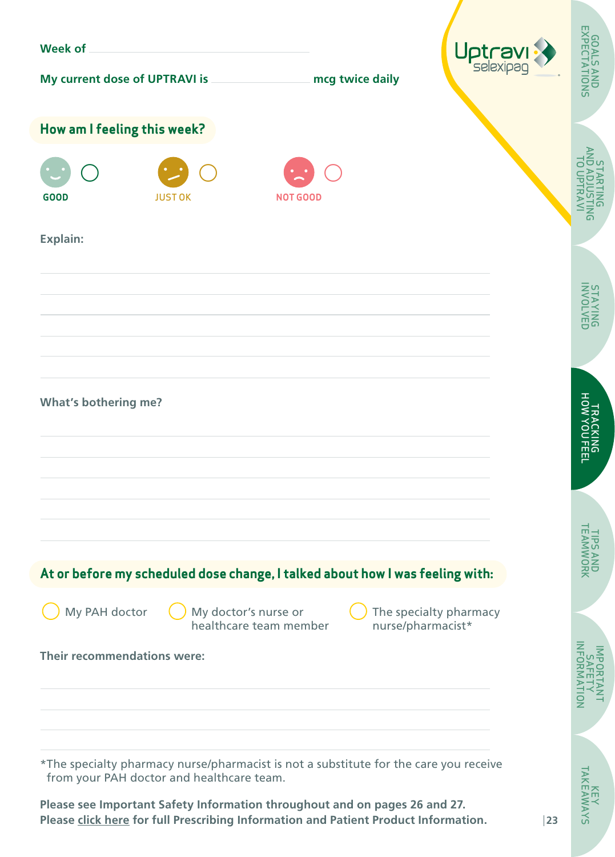| <b>Week of</b>                                                                                                                                                    |                |                                                |                   | Uptravi                |                                     |
|-------------------------------------------------------------------------------------------------------------------------------------------------------------------|----------------|------------------------------------------------|-------------------|------------------------|-------------------------------------|
| My current dose of UPTRAVI is                                                                                                                                     |                |                                                | mcg twice daily   |                        | <b>GOALS AND<br/>EXPECTATIONS</b>   |
| How am I feeling this week?                                                                                                                                       |                |                                                |                   |                        |                                     |
| <b>GOOD</b>                                                                                                                                                       | <b>JUST OK</b> | <b>NOT GOOD</b>                                |                   |                        | AND<br>C<br>בַּנּ<br>$\overline{5}$ |
| Explain:                                                                                                                                                          |                |                                                |                   |                        |                                     |
|                                                                                                                                                                   |                |                                                |                   |                        | STAYNG<br>BUYAL                     |
|                                                                                                                                                                   |                |                                                |                   |                        |                                     |
| <b>What's bothering me?</b>                                                                                                                                       |                |                                                |                   |                        | TRACKING<br>HOW YOU FEEL            |
|                                                                                                                                                                   |                |                                                |                   |                        |                                     |
| At or before my scheduled dose change, I talked about how I was feeling with:                                                                                     |                |                                                |                   |                        | <b>TPS ANI</b><br>FAMWOI<br>공무      |
| My PAH doctor                                                                                                                                                     |                | My doctor's nurse or<br>healthcare team member | nurse/pharmacist* | The specialty pharmacy |                                     |
| Their recommendations were:                                                                                                                                       |                |                                                |                   |                        | NHORM                               |
|                                                                                                                                                                   |                |                                                |                   |                        | ş                                   |
| *The specialty pharmacy nurse/pharmacist is not a substitute for the care you receive<br>from your PAH doctor and healthcare team.                                |                |                                                |                   |                        |                                     |
| Please see Important Safety Information throughout and on pages 26 and 27.<br>Please click here for full Prescribing Information and Patient Product Information. |                |                                                |                   |                        | <b>KEY<br/>TAKEAWAYS</b><br>23      |

**SAVMY**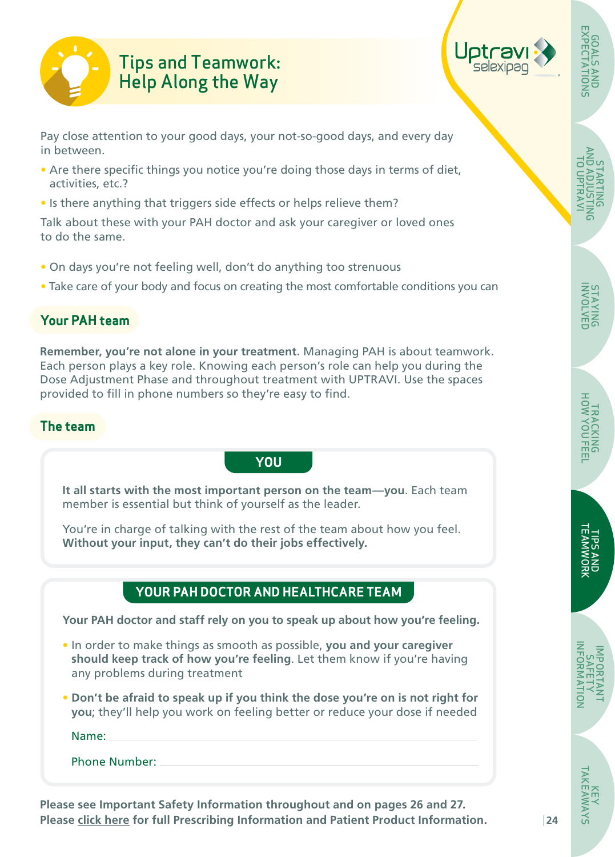<span id="page-23-0"></span>

# Tips and Teamwork: Help Along the Way



Pay close attention to your good days, your not-so-good days, and every day in between.

- Are there specific things you notice you're doing those days in terms of diet, activities, etc.?
- Is there anything that triggers side effects or helps relieve them?

Talk about these with your PAH doctor and ask your caregiver or loved ones to do the same.

- On days you're not feeling well, don't do anything too strenuous
- Take care of your body and focus on creating the most comfortable conditions you can

# **Your PAH team**

**Remember, you're not alone in your treatment.** Managing PAH is about teamwork. Each person plays a key role. Knowing each person's role can help you during the Dose Adjustment Phase and throughout treatment with UPTRAVI. Use the spaces provided to fill in phone numbers so they're easy to find.

### **The team**

**It all starts with the most important person on the team—you**. Each team member is essential but think of yourself as the leader.

**YOU**

You're in charge of talking with the rest of the team about how you feel. **Without your input, they can't do their jobs effectively.**

# **YOUR PAH DOCTOR AND HEALTHCARE TEAM**

**Your PAH doctor and staff rely on you to speak up about how you're feeling.**

- In order to make things as smooth as possible, **you and your caregiver should keep track of how you're feeling**. Let them know if you're having any problems during treatment
- **Don't be afraid to speak up if you think the dose you're on is not right for you**; they'll help you work on feeling better or reduce your dose if needed

Name:

Phone Number:

**Please see Important Safety Information throughout and on pages 26 and 27. Please [click here](https://www.janssenlabels.com/package-insert/product-monograph/prescribing-information/UPTRAVI-pi.pdf) for full Prescribing Information and Patient Product Information.** 

STARTING [AND ADJUSTING](#page-5-0)  TO UPTRAVI

STARTING<br>MITZULOA<br>TO UPTRAVI

GOALS AND [EXPECTATIONS](#page-4-0)

**GOALS AND<br>EXPECTATIONS**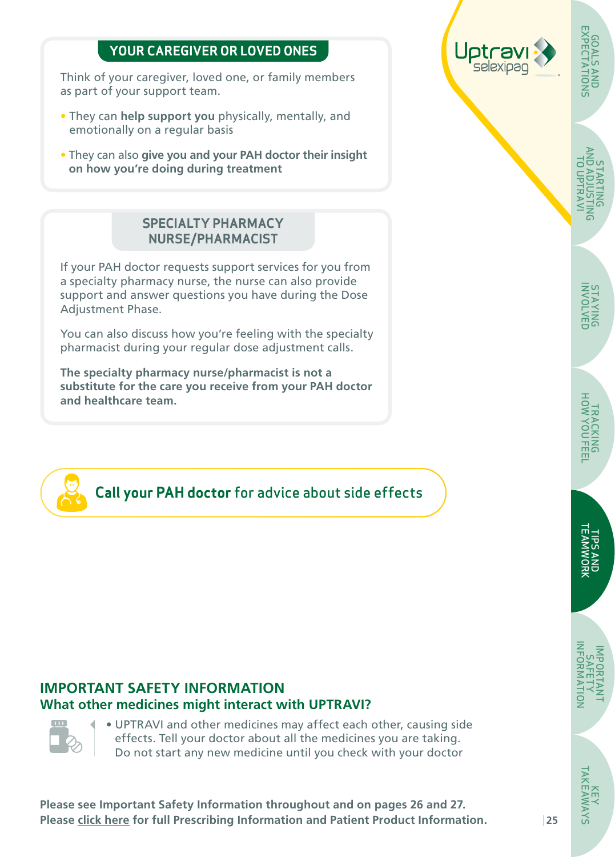### **YOUR CAREGIVER OR LOVED ONES**

Think of your caregiver, loved one, or family members as part of your support team.

- They can **help support you** physically, mentally, and emotionally on a regular basis
- They can also **give you and your PAH doctor their insight on how you're doing during treatment**

#### **SPECIALTY PHARMACY NURSE/PHARMACIST**

If your PAH doctor requests support services for you from a specialty pharmacy nurse, the nurse can also provide support and answer questions you have during the Dose Adjustment Phase.

You can also discuss how you're feeling with the specialty pharmacist during your regular dose adjustment calls.

**The specialty pharmacy nurse/pharmacist is not a substitute for the care you receive from your PAH doctor and healthcare team.**



**Call your PAH doctor** for advice about side effects

# **IMPORTANT SAFETY INFORMATION What other medicines might interact with UPTRAVI?**



• UPTRAVI and other medicines may affect each other, causing side effects. Tell your doctor about all the medicines you are taking. Do not start any new medicine until you check with your doctor

**Please see Important Safety Information throughout and on pages 26 and 27. Please [click here](https://www.janssenlabels.com/package-insert/product-monograph/prescribing-information/UPTRAVI-pi.pdf) for full Prescribing Information and Patient Product Information.** 



[AND ADJUSTING](#page-5-0)  STARTING<br>AITT<br>TO UPTRAVI TO UPTRAVI STARTING

KEY<br>TAKEAWAYS [TAKEAWAYS](#page-27-0)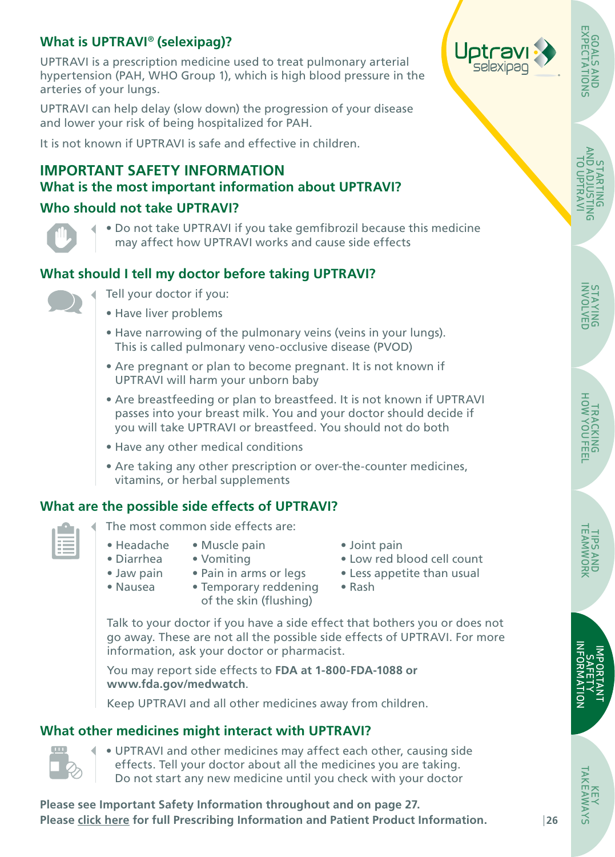# <span id="page-25-0"></span>**What is UPTRAVI**® **(selexipag)?**

UPTRAVI is a prescription medicine used to treat pulmonary arterial hypertension (PAH, WHO Group 1), which is high blood pressure in the arteries of your lungs.

UPTRAVI can help delay (slow down) the progression of your disease and lower your risk of being hospitalized for PAH.

It is not known if UPTRAVI is safe and effective in children.

## **IMPORTANT SAFETY INFORMATION What is the most important information about UPTRAVI?**

#### **Who should not take UPTRAVI?**



• Do not take UPTRAVI if you take gemfibrozil because this medicine may affect how UPTRAVI works and cause side effects

### **What should I tell my doctor before taking UPTRAVI?**



- Tell your doctor if you:
- Have liver problems
- Have narrowing of the pulmonary veins (veins in your lungs). This is called pulmonary veno-occlusive disease (PVOD)
- Are pregnant or plan to become pregnant. It is not known if UPTRAVI will harm your unborn baby
- Are breastfeeding or plan to breastfeed. It is not known if UPTRAVI passes into your breast milk. You and your doctor should decide if you will take UPTRAVI or breastfeed. You should not do both
- Have any other medical conditions
- Are taking any other prescription or over-the-counter medicines, vitamins, or herbal supplements

#### **What are the possible side effects of UPTRAVI?**

- The most common side effects are:
- Headache
- Muscle pain • Diarrhea
	- Vomiting
- Joint pain
- Low red blood cell count
- Pain in arms or legs
- Jaw pain • Nausea
- Temporary reddening of the skin (flushing)
- Less appetite than usual
- Rash

Talk to your doctor if you have a side effect that bothers you or does not go away. These are not all the possible side effects of UPTRAVI. For more information, ask your doctor or pharmacist.

You may report side effects to **FDA at 1-800-FDA-1088 or www.fda.gov/medwatch**.

Keep UPTRAVI and all other medicines away from children.

#### **What other medicines might interact with UPTRAVI?**



• UPTRAVI and other medicines may affect each other, causing side effects. Tell your doctor about all the medicines you are taking. Do not start any new medicine until you check with your doctor

**Please see Important Safety Information throughout and on page 27. Please [click here](https://www.janssenlabels.com/package-insert/product-monograph/prescribing-information/UPTRAVI-pi.pdf) for full Prescribing Information and Patient Product Information.** 



STARTING<br>AND ADJUSTIN<br>TO UPTRAVI [AND ADJUSTING](#page-5-0)  TO UPTRAVI STARTING m<br>S

GOALS AND [EXPECTATIONS](#page-4-0)

**GOALS AND<br>EXPECTATIONS** 

TIPS AND<br>TEAMWORK [TEAMWORK](#page-23-0)TIPS AND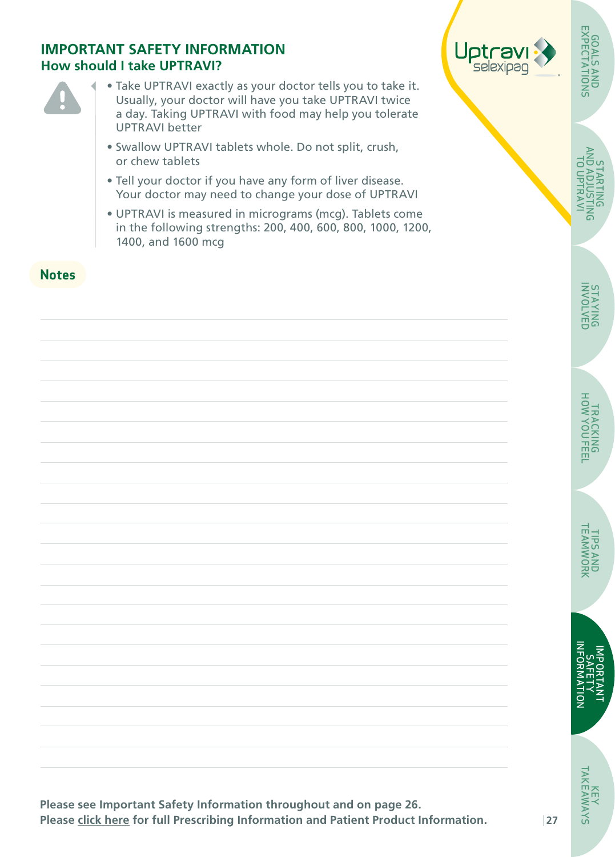#### **IMPORTANT SAFETY INFORMATION How should I take UPTRAVI?**



**Notes**

- Take UPTRAVI exactly as your doctor tells you to take it. Usually, your doctor will have you take UPTRAVI twice a day. Taking UPTRAVI with food may help you tolerate UPTRAVI better
- Swallow UPTRAVI tablets whole. Do not split, crush, or chew tablets
- Tell your doctor if you have any form of liver disease. Your doctor may need to change your dose of UPTRAVI
- UPTRAVI is measured in micrograms (mcg). Tablets come in the following strengths: 200, 400, 600, 800, 1000, 1200, 1400, and 1600 mcg



[AND ADJUSTING](#page-5-0)  TO UPTRAVI Ξv  $\bar{\circ}$ STARTING **ARTING** 

GOALS AND [EXPECTATIONS](#page-4-0)

**GOALS AND<br>EXPECTATIONS** GOALS

[TEAMWORK](#page-23-0) **TIPS AND<br>TEAMWORK** TIPS AND

**Please see Important Safety Information throughout and on page 26. Please [click here](https://www.janssenlabels.com/package-insert/product-monograph/prescribing-information/UPTRAVI-pi.pdf) for full Prescribing Information and Patient Product Information.**